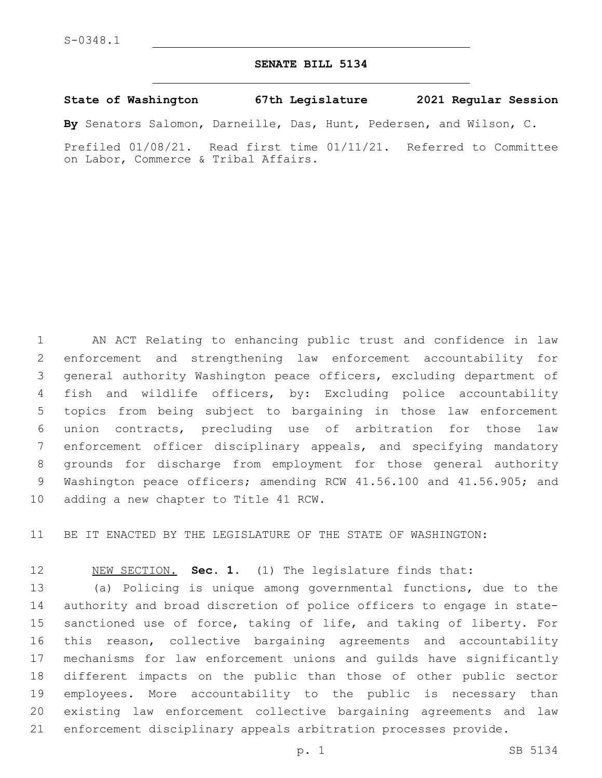## **SENATE BILL 5134**

**State of Washington 67th Legislature 2021 Regular Session**

**By** Senators Salomon, Darneille, Das, Hunt, Pedersen, and Wilson, C.

Prefiled 01/08/21. Read first time 01/11/21. Referred to Committee on Labor, Commerce & Tribal Affairs.

 AN ACT Relating to enhancing public trust and confidence in law enforcement and strengthening law enforcement accountability for general authority Washington peace officers, excluding department of fish and wildlife officers, by: Excluding police accountability topics from being subject to bargaining in those law enforcement union contracts, precluding use of arbitration for those law enforcement officer disciplinary appeals, and specifying mandatory grounds for discharge from employment for those general authority Washington peace officers; amending RCW 41.56.100 and 41.56.905; and 10 adding a new chapter to Title 41 RCW.

BE IT ENACTED BY THE LEGISLATURE OF THE STATE OF WASHINGTON:

NEW SECTION. **Sec. 1.** (1) The legislature finds that:

 (a) Policing is unique among governmental functions, due to the authority and broad discretion of police officers to engage in state- sanctioned use of force, taking of life, and taking of liberty. For this reason, collective bargaining agreements and accountability mechanisms for law enforcement unions and guilds have significantly different impacts on the public than those of other public sector employees. More accountability to the public is necessary than existing law enforcement collective bargaining agreements and law enforcement disciplinary appeals arbitration processes provide.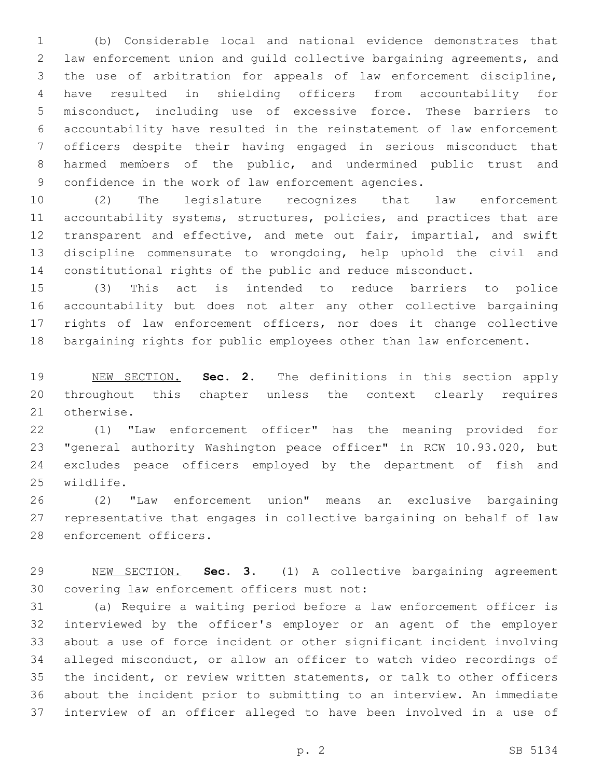(b) Considerable local and national evidence demonstrates that law enforcement union and guild collective bargaining agreements, and the use of arbitration for appeals of law enforcement discipline, have resulted in shielding officers from accountability for misconduct, including use of excessive force. These barriers to accountability have resulted in the reinstatement of law enforcement officers despite their having engaged in serious misconduct that harmed members of the public, and undermined public trust and confidence in the work of law enforcement agencies.

 (2) The legislature recognizes that law enforcement 11 accountability systems, structures, policies, and practices that are transparent and effective, and mete out fair, impartial, and swift discipline commensurate to wrongdoing, help uphold the civil and constitutional rights of the public and reduce misconduct.

 (3) This act is intended to reduce barriers to police accountability but does not alter any other collective bargaining rights of law enforcement officers, nor does it change collective bargaining rights for public employees other than law enforcement.

 NEW SECTION. **Sec. 2.** The definitions in this section apply throughout this chapter unless the context clearly requires otherwise.

 (1) "Law enforcement officer" has the meaning provided for "general authority Washington peace officer" in RCW 10.93.020, but excludes peace officers employed by the department of fish and 25 wildlife.

 (2) "Law enforcement union" means an exclusive bargaining representative that engages in collective bargaining on behalf of law 28 enforcement officers.

 NEW SECTION. **Sec. 3.** (1) A collective bargaining agreement covering law enforcement officers must not:

 (a) Require a waiting period before a law enforcement officer is interviewed by the officer's employer or an agent of the employer about a use of force incident or other significant incident involving alleged misconduct, or allow an officer to watch video recordings of the incident, or review written statements, or talk to other officers about the incident prior to submitting to an interview. An immediate interview of an officer alleged to have been involved in a use of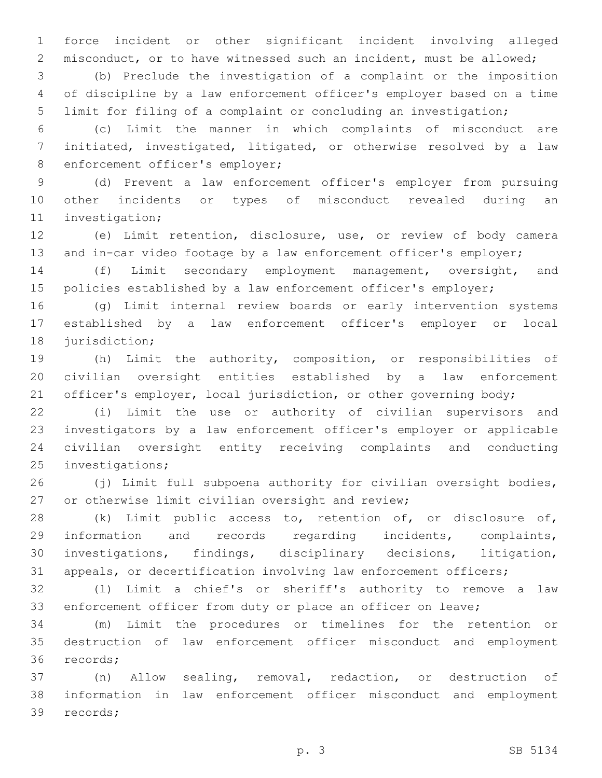force incident or other significant incident involving alleged misconduct, or to have witnessed such an incident, must be allowed;

 (b) Preclude the investigation of a complaint or the imposition of discipline by a law enforcement officer's employer based on a time limit for filing of a complaint or concluding an investigation;

 (c) Limit the manner in which complaints of misconduct are initiated, investigated, litigated, or otherwise resolved by a law 8 enforcement officer's employer;

 (d) Prevent a law enforcement officer's employer from pursuing other incidents or types of misconduct revealed during an 11 investigation;

 (e) Limit retention, disclosure, use, or review of body camera 13 and in-car video footage by a law enforcement officer's employer;

 (f) Limit secondary employment management, oversight, and 15 policies established by a law enforcement officer's employer;

 (g) Limit internal review boards or early intervention systems established by a law enforcement officer's employer or local 18 jurisdiction;

 (h) Limit the authority, composition, or responsibilities of civilian oversight entities established by a law enforcement 21 officer's employer, local jurisdiction, or other governing body;

 (i) Limit the use or authority of civilian supervisors and investigators by a law enforcement officer's employer or applicable civilian oversight entity receiving complaints and conducting 25 investigations;

 (j) Limit full subpoena authority for civilian oversight bodies, 27 or otherwise limit civilian oversight and review;

 (k) Limit public access to, retention of, or disclosure of, information and records regarding incidents, complaints, investigations, findings, disciplinary decisions, litigation, appeals, or decertification involving law enforcement officers;

 (l) Limit a chief's or sheriff's authority to remove a law 33 enforcement officer from duty or place an officer on leave;

 (m) Limit the procedures or timelines for the retention or destruction of law enforcement officer misconduct and employment 36 records;

 (n) Allow sealing, removal, redaction, or destruction of information in law enforcement officer misconduct and employment 39 records;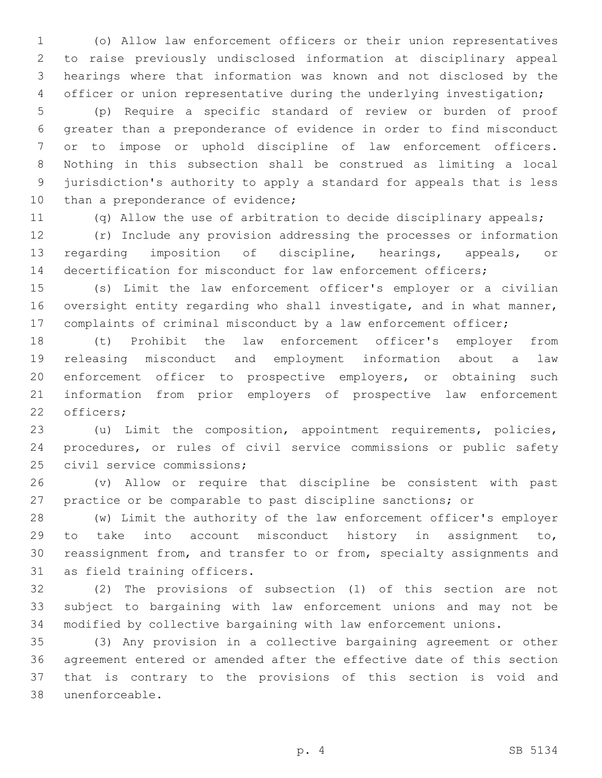(o) Allow law enforcement officers or their union representatives to raise previously undisclosed information at disciplinary appeal hearings where that information was known and not disclosed by the officer or union representative during the underlying investigation;

 (p) Require a specific standard of review or burden of proof greater than a preponderance of evidence in order to find misconduct or to impose or uphold discipline of law enforcement officers. Nothing in this subsection shall be construed as limiting a local jurisdiction's authority to apply a standard for appeals that is less 10 than a preponderance of evidence;

(q) Allow the use of arbitration to decide disciplinary appeals;

 (r) Include any provision addressing the processes or information regarding imposition of discipline, hearings, appeals, or decertification for misconduct for law enforcement officers;

 (s) Limit the law enforcement officer's employer or a civilian 16 oversight entity regarding who shall investigate, and in what manner, complaints of criminal misconduct by a law enforcement officer;

 (t) Prohibit the law enforcement officer's employer from releasing misconduct and employment information about a law enforcement officer to prospective employers, or obtaining such information from prior employers of prospective law enforcement 22 officers;

 (u) Limit the composition, appointment requirements, policies, procedures, or rules of civil service commissions or public safety 25 civil service commissions;

 (v) Allow or require that discipline be consistent with past practice or be comparable to past discipline sanctions; or

 (w) Limit the authority of the law enforcement officer's employer to take into account misconduct history in assignment to, reassignment from, and transfer to or from, specialty assignments and 31 as field training officers.

 (2) The provisions of subsection (1) of this section are not subject to bargaining with law enforcement unions and may not be modified by collective bargaining with law enforcement unions.

 (3) Any provision in a collective bargaining agreement or other agreement entered or amended after the effective date of this section that is contrary to the provisions of this section is void and unenforceable.38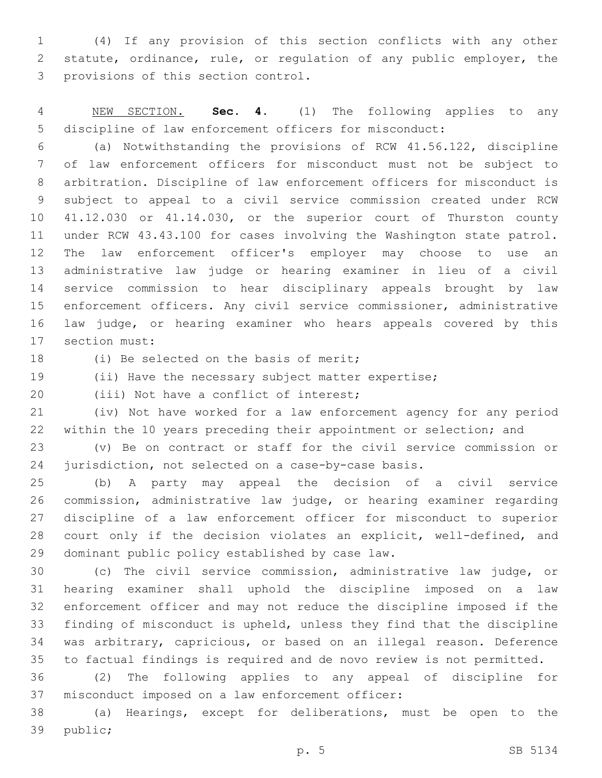(4) If any provision of this section conflicts with any other statute, ordinance, rule, or regulation of any public employer, the 3 provisions of this section control.

 NEW SECTION. **Sec. 4.** (1) The following applies to any discipline of law enforcement officers for misconduct:

 (a) Notwithstanding the provisions of RCW 41.56.122, discipline of law enforcement officers for misconduct must not be subject to arbitration. Discipline of law enforcement officers for misconduct is subject to appeal to a civil service commission created under RCW 41.12.030 or 41.14.030, or the superior court of Thurston county under RCW 43.43.100 for cases involving the Washington state patrol. The law enforcement officer's employer may choose to use an administrative law judge or hearing examiner in lieu of a civil service commission to hear disciplinary appeals brought by law enforcement officers. Any civil service commissioner, administrative law judge, or hearing examiner who hears appeals covered by this 17 section must:

18 (i) Be selected on the basis of merit;

(ii) Have the necessary subject matter expertise;

20 (iii) Not have a conflict of interest;

 (iv) Not have worked for a law enforcement agency for any period within the 10 years preceding their appointment or selection; and

 (v) Be on contract or staff for the civil service commission or jurisdiction, not selected on a case-by-case basis.

 (b) A party may appeal the decision of a civil service commission, administrative law judge, or hearing examiner regarding discipline of a law enforcement officer for misconduct to superior court only if the decision violates an explicit, well-defined, and 29 dominant public policy established by case law.

 (c) The civil service commission, administrative law judge, or hearing examiner shall uphold the discipline imposed on a law enforcement officer and may not reduce the discipline imposed if the finding of misconduct is upheld, unless they find that the discipline was arbitrary, capricious, or based on an illegal reason. Deference to factual findings is required and de novo review is not permitted.

 (2) The following applies to any appeal of discipline for 37 misconduct imposed on a law enforcement officer:

 (a) Hearings, except for deliberations, must be open to the 39 public;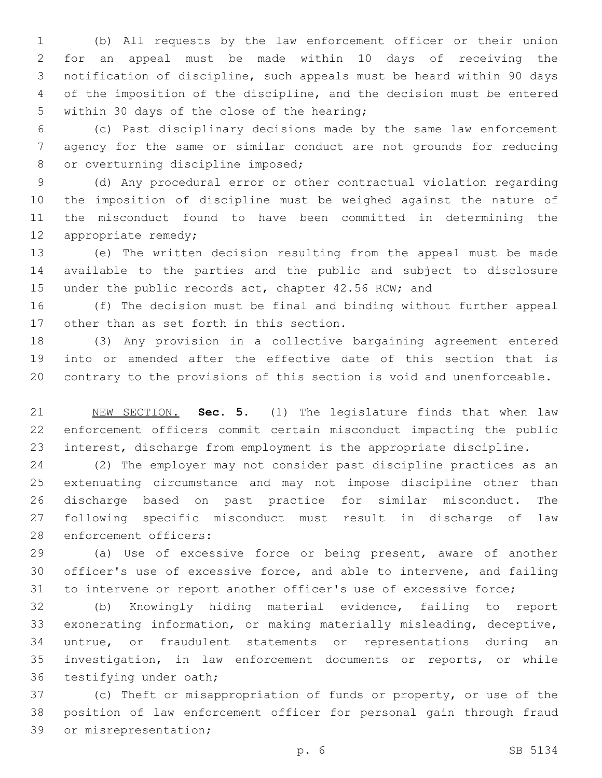(b) All requests by the law enforcement officer or their union for an appeal must be made within 10 days of receiving the notification of discipline, such appeals must be heard within 90 days of the imposition of the discipline, and the decision must be entered 5 within 30 days of the close of the hearing;

 (c) Past disciplinary decisions made by the same law enforcement agency for the same or similar conduct are not grounds for reducing 8 or overturning discipline imposed;

 (d) Any procedural error or other contractual violation regarding the imposition of discipline must be weighed against the nature of the misconduct found to have been committed in determining the 12 appropriate remedy;

 (e) The written decision resulting from the appeal must be made available to the parties and the public and subject to disclosure 15 under the public records act, chapter 42.56 RCW; and

 (f) The decision must be final and binding without further appeal 17 other than as set forth in this section.

 (3) Any provision in a collective bargaining agreement entered into or amended after the effective date of this section that is contrary to the provisions of this section is void and unenforceable.

 NEW SECTION. **Sec. 5.** (1) The legislature finds that when law enforcement officers commit certain misconduct impacting the public interest, discharge from employment is the appropriate discipline.

 (2) The employer may not consider past discipline practices as an extenuating circumstance and may not impose discipline other than discharge based on past practice for similar misconduct. The following specific misconduct must result in discharge of law 28 enforcement officers:

 (a) Use of excessive force or being present, aware of another officer's use of excessive force, and able to intervene, and failing to intervene or report another officer's use of excessive force;

 (b) Knowingly hiding material evidence, failing to report exonerating information, or making materially misleading, deceptive, untrue, or fraudulent statements or representations during an investigation, in law enforcement documents or reports, or while 36 testifying under oath;

 (c) Theft or misappropriation of funds or property, or use of the position of law enforcement officer for personal gain through fraud 39 or misrepresentation;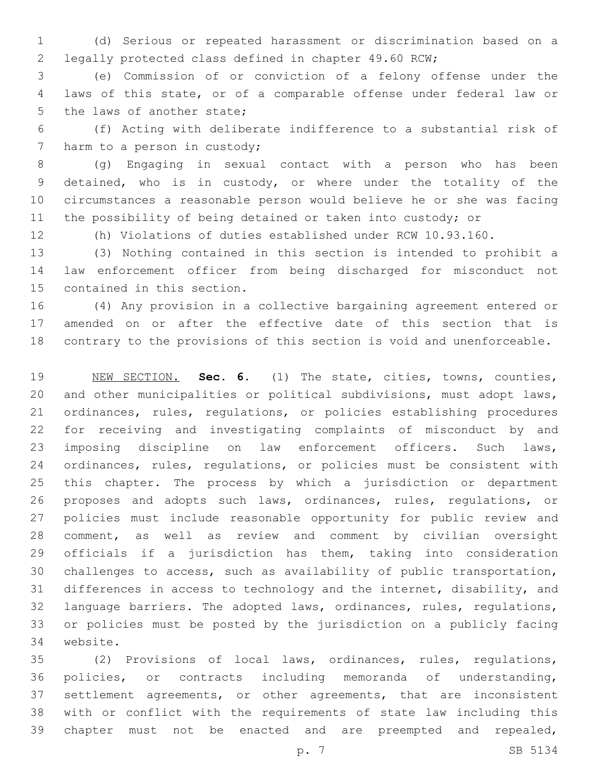(d) Serious or repeated harassment or discrimination based on a legally protected class defined in chapter 49.60 RCW;

 (e) Commission of or conviction of a felony offense under the laws of this state, or of a comparable offense under federal law or 5 the laws of another state;

 (f) Acting with deliberate indifference to a substantial risk of 7 harm to a person in custody;

 (g) Engaging in sexual contact with a person who has been detained, who is in custody, or where under the totality of the circumstances a reasonable person would believe he or she was facing the possibility of being detained or taken into custody; or

(h) Violations of duties established under RCW 10.93.160.

 (3) Nothing contained in this section is intended to prohibit a law enforcement officer from being discharged for misconduct not 15 contained in this section.

 (4) Any provision in a collective bargaining agreement entered or amended on or after the effective date of this section that is contrary to the provisions of this section is void and unenforceable.

 NEW SECTION. **Sec. 6.** (1) The state, cities, towns, counties, and other municipalities or political subdivisions, must adopt laws, ordinances, rules, regulations, or policies establishing procedures for receiving and investigating complaints of misconduct by and imposing discipline on law enforcement officers. Such laws, ordinances, rules, regulations, or policies must be consistent with this chapter. The process by which a jurisdiction or department proposes and adopts such laws, ordinances, rules, regulations, or policies must include reasonable opportunity for public review and comment, as well as review and comment by civilian oversight officials if a jurisdiction has them, taking into consideration challenges to access, such as availability of public transportation, differences in access to technology and the internet, disability, and language barriers. The adopted laws, ordinances, rules, regulations, or policies must be posted by the jurisdiction on a publicly facing website.

 (2) Provisions of local laws, ordinances, rules, regulations, policies, or contracts including memoranda of understanding, 37 settlement agreements, or other agreements, that are inconsistent with or conflict with the requirements of state law including this chapter must not be enacted and are preempted and repealed,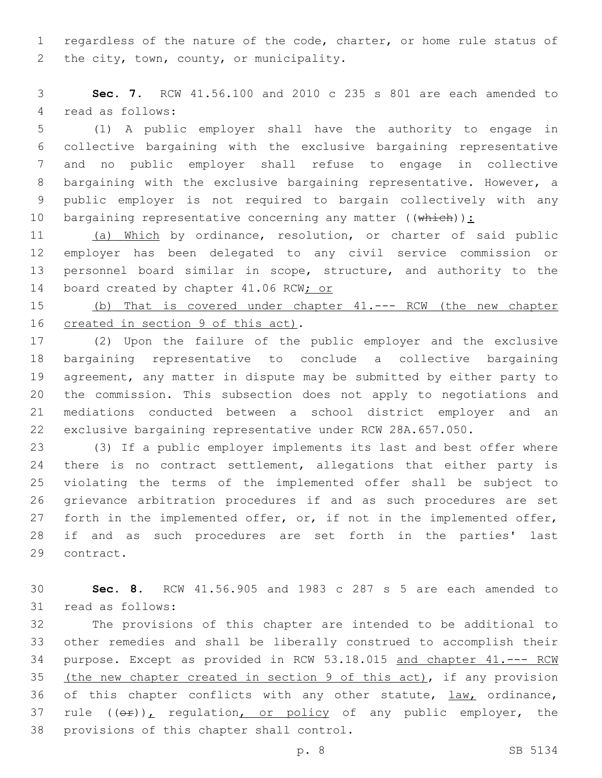regardless of the nature of the code, charter, or home rule status of 2 the city, town, county, or municipality.

 **Sec. 7.** RCW 41.56.100 and 2010 c 235 s 801 are each amended to 4 read as follows:

 (1) A public employer shall have the authority to engage in collective bargaining with the exclusive bargaining representative and no public employer shall refuse to engage in collective bargaining with the exclusive bargaining representative. However, a public employer is not required to bargain collectively with any 10 bargaining representative concerning any matter  $((\text{whieh}))$ :

 (a) Which by ordinance, resolution, or charter of said public employer has been delegated to any civil service commission or personnel board similar in scope, structure, and authority to the 14 board created by chapter 41.06 RCW; or

 (b) That is covered under chapter 41.--- RCW (the new chapter 16 created in section 9 of this act).

 (2) Upon the failure of the public employer and the exclusive bargaining representative to conclude a collective bargaining agreement, any matter in dispute may be submitted by either party to the commission. This subsection does not apply to negotiations and mediations conducted between a school district employer and an exclusive bargaining representative under RCW 28A.657.050.

 (3) If a public employer implements its last and best offer where 24 there is no contract settlement, allegations that either party is violating the terms of the implemented offer shall be subject to grievance arbitration procedures if and as such procedures are set 27 forth in the implemented offer, or, if not in the implemented offer, if and as such procedures are set forth in the parties' last 29 contract.

 **Sec. 8.** RCW 41.56.905 and 1983 c 287 s 5 are each amended to 31 read as follows:

 The provisions of this chapter are intended to be additional to other remedies and shall be liberally construed to accomplish their purpose. Except as provided in RCW 53.18.015 and chapter 41.--- RCW (the new chapter created in section 9 of this act), if any provision 36 of this chapter conflicts with any other statute, law, ordinance, 37 rule  $((\theta \cdot \hat{r}))_L$  regulation, or policy of any public employer, the 38 provisions of this chapter shall control.